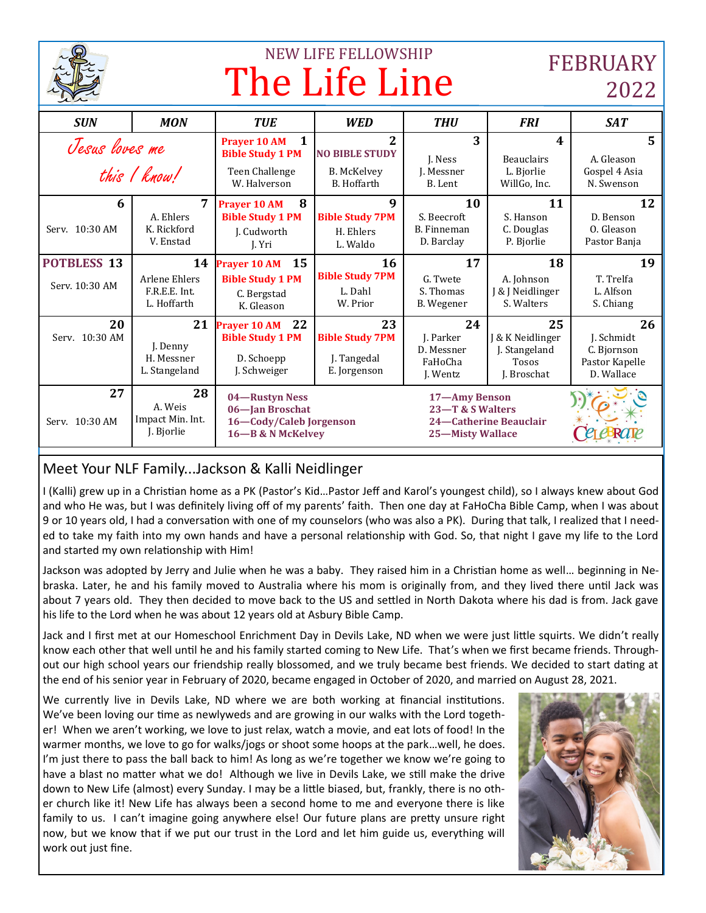

# NEW LIFE FELLOWSHIP The Life Line

# FEBRUARY 2022

| <b>SUN</b>                           | <b>MON</b>                                              | <b>TUE</b>                                                                            | <b>WED</b>                                                            | <b>THU</b>                                                                             | <b>FRI</b>                                                             | SAT                                                             |
|--------------------------------------|---------------------------------------------------------|---------------------------------------------------------------------------------------|-----------------------------------------------------------------------|----------------------------------------------------------------------------------------|------------------------------------------------------------------------|-----------------------------------------------------------------|
| Jesus loves me<br>this / know!       |                                                         | 1<br><b>Prayer 10 AM</b><br><b>Bible Study 1 PM</b><br>Teen Challenge<br>W. Halverson | $\overline{2}$<br><b>NO BIBLE STUDY</b><br>B. McKelvey<br>B. Hoffarth | 3<br>J. Ness<br>J. Messner<br>B. Lent                                                  | 4<br><b>Beauclairs</b><br>L. Biorlie<br>WillGo, Inc.                   | $5^{\circ}$<br>A. Gleason<br>Gospel 4 Asia<br>N. Swenson        |
| 6<br>Serv. 10:30 AM                  | $\overline{7}$<br>A. Ehlers<br>K. Rickford<br>V. Enstad | 8<br><b>Prayer 10 AM</b><br><b>Bible Study 1 PM</b><br>J. Cudworth<br>J. Yri          | $\mathbf q$<br><b>Bible Study 7PM</b><br>H. Ehlers<br>L. Waldo        | <b>10</b><br>S. Beecroft<br>B. Finneman<br>D. Barclay                                  | 11<br>S. Hanson<br>C. Douglas<br>P. Bjorlie                            | 12<br>D. Benson<br>O. Gleason<br>Pastor Banja                   |
| <b>POTBLESS 13</b><br>Serv. 10:30 AM | 14<br>Arlene Ehlers<br>F.R.E.E. Int.<br>L. Hoffarth     | 15<br><b>Prayer 10 AM</b><br><b>Bible Study 1 PM</b><br>C. Bergstad<br>K. Gleason     | 16<br><b>Bible Study 7PM</b><br>L. Dahl<br>W. Prior                   | 17<br>G. Twete<br>S. Thomas<br>B. Wegener                                              | 18<br>A. Johnson<br><b>J &amp; J Neidlinger</b><br>S. Walters          | 19<br>T. Trelfa<br>L. Alfson<br>S. Chiang                       |
| 20<br>Serv. 10:30 AM                 | 21<br>J. Denny<br>H. Messner<br>L. Stangeland           | 22<br>Prayer 10 AM<br><b>Bible Study 1 PM</b><br>D. Schoepp<br>J. Schweiger           | 23<br><b>Bible Study 7PM</b><br>J. Tangedal<br>E. Jorgenson           | 24<br>I. Parker<br>D. Messner<br>FaHoCha<br>J. Wentz                                   | 25<br>J & K Neidlinger<br>J. Stangeland<br><b>Tosos</b><br>J. Broschat | 26<br>I. Schmidt<br>C. Bjornson<br>Pastor Kapelle<br>D. Wallace |
| 27<br>Serv. 10:30 AM                 | 28<br>A. Weis<br>Impact Min. Int.<br>J. Bjorlie         | 04-Rustyn Ness<br>06-Jan Broschat<br>16-Cody/Caleb Jorgenson<br>16-B & N McKelvey     |                                                                       | 17-Amy Benson<br>23-T & S Walters<br>24-Catherine Beauclair<br><b>25-Misty Wallace</b> |                                                                        |                                                                 |

# Meet Your NLF Family...Jackson & Kalli Neidlinger

I (Kalli) grew up in a Christian home as a PK (Pastor's Kid…Pastor Jeff and Karol's youngest child), so I always knew about God and who He was, but I was definitely living off of my parents' faith. Then one day at FaHoCha Bible Camp, when I was about 9 or 10 years old, I had a conversation with one of my counselors (who was also a PK). During that talk, I realized that I needed to take my faith into my own hands and have a personal relationship with God. So, that night I gave my life to the Lord and started my own relationship with Him!

Jackson was adopted by Jerry and Julie when he was a baby. They raised him in a Christian home as well… beginning in Nebraska. Later, he and his family moved to Australia where his mom is originally from, and they lived there until Jack was about 7 years old. They then decided to move back to the US and settled in North Dakota where his dad is from. Jack gave his life to the Lord when he was about 12 years old at Asbury Bible Camp.

Jack and I first met at our Homeschool Enrichment Day in Devils Lake, ND when we were just little squirts. We didn't really know each other that well until he and his family started coming to New Life. That's when we first became friends. Throughout our high school years our friendship really blossomed, and we truly became best friends. We decided to start dating at the end of his senior year in February of 2020, became engaged in October of 2020, and married on August 28, 2021.

We currently live in Devils Lake, ND where we are both working at financial institutions. We've been loving our time as newlyweds and are growing in our walks with the Lord together! When we aren't working, we love to just relax, watch a movie, and eat lots of food! In the warmer months, we love to go for walks/jogs or shoot some hoops at the park…well, he does. I'm just there to pass the ball back to him! As long as we're together we know we're going to have a blast no matter what we do! Although we live in Devils Lake, we still make the drive down to New Life (almost) every Sunday. I may be a little biased, but, frankly, there is no other church like it! New Life has always been a second home to me and everyone there is like family to us. I can't imagine going anywhere else! Our future plans are pretty unsure right now, but we know that if we put our trust in the Lord and let him guide us, everything will work out just fine.